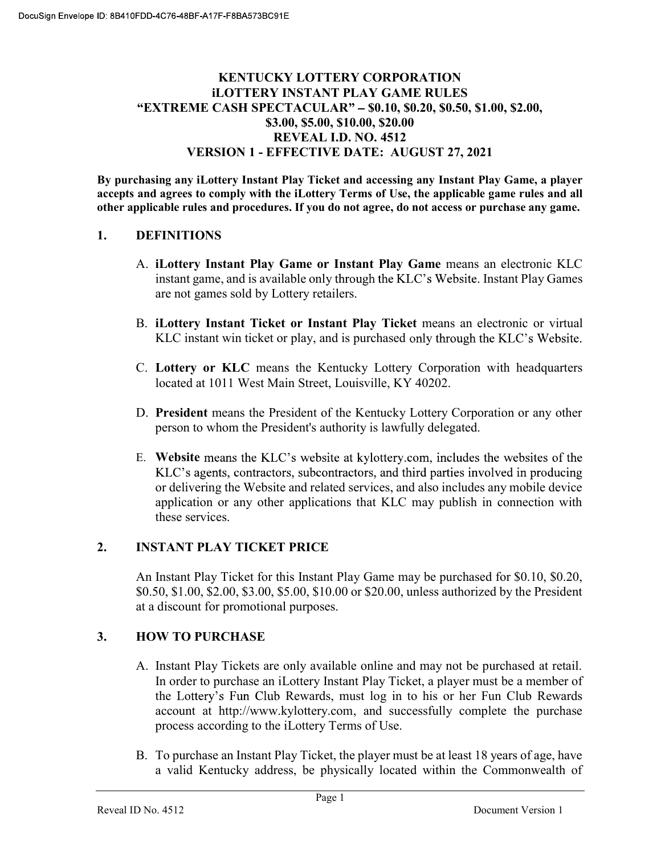#### KENTUCKY LOTTERY CORPORATION iLOTTERY INSTANT PLAY GAME RULES "EXTREME CASH SPECTACULAR" - \$0.10, \$0.20, \$0.50, \$1.00, \$2.00, \$3.00, \$5.00, \$10.00, \$20.00 REVEAL I.D. NO. 4512 VERSION 1 - EFFECTIVE DATE: AUGUST 27, 2021

By purchasing any iLottery Instant Play Ticket and accessing any Instant Play Game, a player accepts and agrees to comply with the iLottery Terms of Use, the applicable game rules and all other applicable rules and procedures. If you do not agree, do not access or purchase any game.

#### 1. DEFINITIONS

- A. iLottery Instant Play Game or Instant Play Game means an electronic KLC instant game, and is available only through the KLC's Website. Instant Play Games are not games sold by Lottery retailers.
- B. iLottery Instant Ticket or Instant Play Ticket means an electronic or virtual KLC instant win ticket or play, and is purchased only through the KLC's Website.
- C. Lottery or KLC means the Kentucky Lottery Corporation with headquarters located at 1011 West Main Street, Louisville, KY 40202.
- D. President means the President of the Kentucky Lottery Corporation or any other person to whom the President's authority is lawfully delegated.
- E. Website means the KLC's website at kylottery.com, includes the websites of the KLC's agents, contractors, subcontractors, and third parties involved in producing or delivering the Website and related services, and also includes any mobile device application or any other applications that KLC may publish in connection with these services.

#### 2. INSTANT PLAY TICKET PRICE

An Instant Play Ticket for this Instant Play Game may be purchased for \$0.10, \$0.20, \$0.50, \$1.00, \$2.00, \$3.00, \$5.00, \$10.00 or \$20.00, unless authorized by the President at a discount for promotional purposes.

## 3. HOW TO PURCHASE

- A. Instant Play Tickets are only available online and may not be purchased at retail. In order to purchase an iLottery Instant Play Ticket, a player must be a member of the Lottery's Fun Club Rewards, must log in to his or her Fun Club Rewards account at http://www.kylottery.com, and successfully complete the purchase process according to the iLottery Terms of Use.
- B. To purchase an Instant Play Ticket, the player must be at least 18 years of age, have a valid Kentucky address, be physically located within the Commonwealth of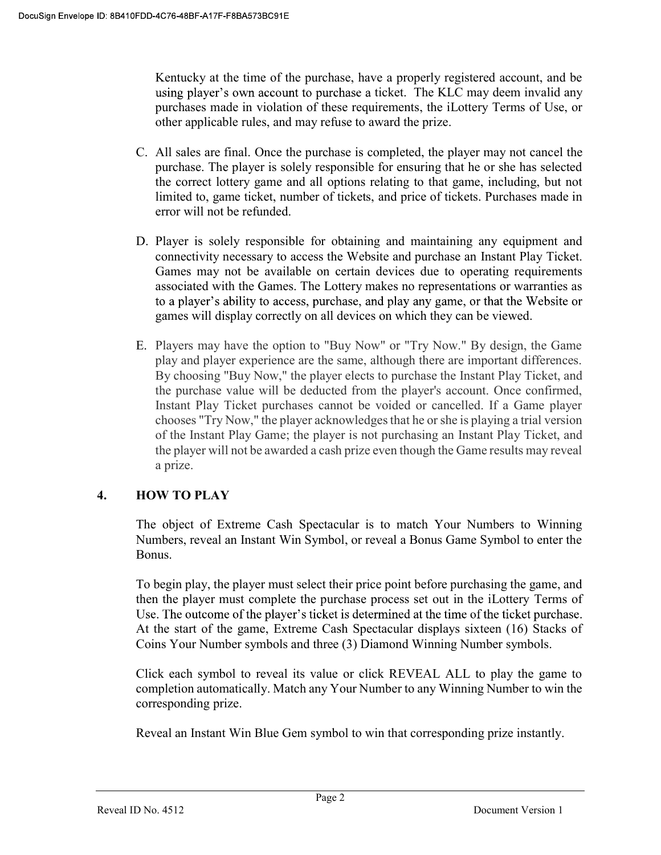Kentucky at the time of the purchase, have a properly registered account, and be using player's own account to purchase a ticket. The KLC may deem invalid any purchases made in violation of these requirements, the iLottery Terms of Use, or other applicable rules, and may refuse to award the prize.

- C. All sales are final. Once the purchase is completed, the player may not cancel the purchase. The player is solely responsible for ensuring that he or she has selected the correct lottery game and all options relating to that game, including, but not limited to, game ticket, number of tickets, and price of tickets. Purchases made in error will not be refunded.
- D. Player is solely responsible for obtaining and maintaining any equipment and connectivity necessary to access the Website and purchase an Instant Play Ticket. Games may not be available on certain devices due to operating requirements associated with the Games. The Lottery makes no representations or warranties as to a player's ability to access, purchase, and play any game, or that the Website or games will display correctly on all devices on which they can be viewed.
- E. Players may have the option to "Buy Now" or "Try Now." By design, the Game play and player experience are the same, although there are important differences. By choosing "Buy Now," the player elects to purchase the Instant Play Ticket, and the purchase value will be deducted from the player's account. Once confirmed, Instant Play Ticket purchases cannot be voided or cancelled. If a Game player chooses "Try Now," the player acknowledges that he or she is playing a trial version of the Instant Play Game; the player is not purchasing an Instant Play Ticket, and the player will not be awarded a cash prize even though the Game results may reveal a prize.

## 4. HOW TO PLAY

The object of Extreme Cash Spectacular is to match Your Numbers to Winning Numbers, reveal an Instant Win Symbol, or reveal a Bonus Game Symbol to enter the Bonus.

To begin play, the player must select their price point before purchasing the game, and then the player must complete the purchase process set out in the iLottery Terms of Use. The outcome of the player's ticket is determined at the time of the ticket purchase. At the start of the game, Extreme Cash Spectacular displays sixteen (16) Stacks of Coins Your Number symbols and three (3) Diamond Winning Number symbols.

Click each symbol to reveal its value or click REVEAL ALL to play the game to completion automatically. Match any Your Number to any Winning Number to win the corresponding prize.

Reveal an Instant Win Blue Gem symbol to win that corresponding prize instantly.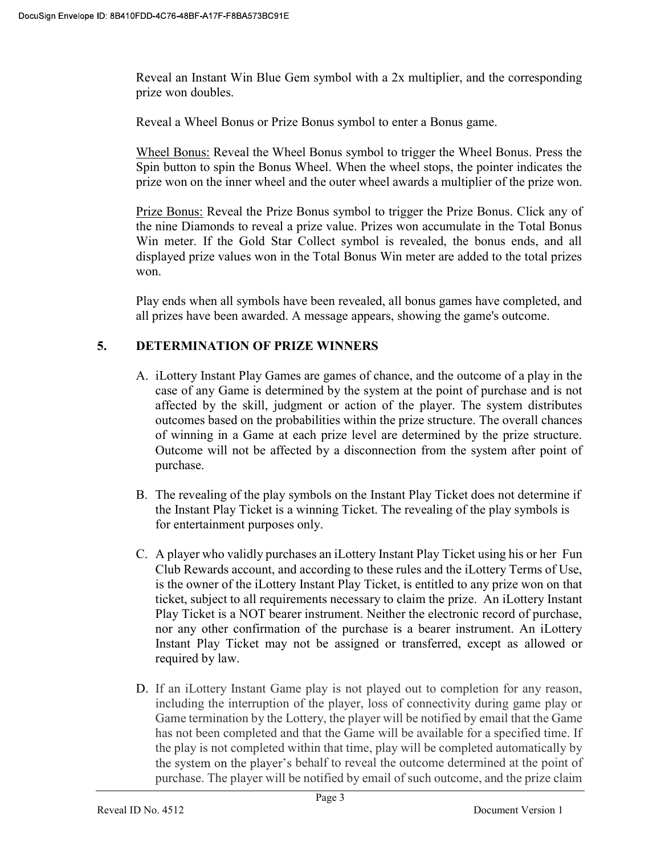Reveal an Instant Win Blue Gem symbol with a 2x multiplier, and the corresponding prize won doubles.

Reveal a Wheel Bonus or Prize Bonus symbol to enter a Bonus game.

Wheel Bonus: Reveal the Wheel Bonus symbol to trigger the Wheel Bonus. Press the Spin button to spin the Bonus Wheel. When the wheel stops, the pointer indicates the prize won on the inner wheel and the outer wheel awards a multiplier of the prize won.

Prize Bonus: Reveal the Prize Bonus symbol to trigger the Prize Bonus. Click any of the nine Diamonds to reveal a prize value. Prizes won accumulate in the Total Bonus Win meter. If the Gold Star Collect symbol is revealed, the bonus ends, and all displayed prize values won in the Total Bonus Win meter are added to the total prizes won.

Play ends when all symbols have been revealed, all bonus games have completed, and all prizes have been awarded. A message appears, showing the game's outcome.

## 5. DETERMINATION OF PRIZE WINNERS

- A. iLottery Instant Play Games are games of chance, and the outcome of a play in the case of any Game is determined by the system at the point of purchase and is not affected by the skill, judgment or action of the player. The system distributes outcomes based on the probabilities within the prize structure. The overall chances of winning in a Game at each prize level are determined by the prize structure. Outcome will not be affected by a disconnection from the system after point of purchase.
- B. The revealing of the play symbols on the Instant Play Ticket does not determine if the Instant Play Ticket is a winning Ticket. The revealing of the play symbols is for entertainment purposes only.
- C. A player who validly purchases an iLottery Instant Play Ticket using his or her Fun Club Rewards account, and according to these rules and the iLottery Terms of Use, is the owner of the iLottery Instant Play Ticket, is entitled to any prize won on that ticket, subject to all requirements necessary to claim the prize. An iLottery Instant Play Ticket is a NOT bearer instrument. Neither the electronic record of purchase, nor any other confirmation of the purchase is a bearer instrument. An iLottery Instant Play Ticket may not be assigned or transferred, except as allowed or required by law.
- D. If an iLottery Instant Game play is not played out to completion for any reason, including the interruption of the player, loss of connectivity during game play or Game termination by the Lottery, the player will be notified by email that the Game has not been completed and that the Game will be available for a specified time. If the play is not completed within that time, play will be completed automatically by the system on the player's behalf to reveal the outcome determined at the point of purchase. The player will be notified by email of such outcome, and the prize claim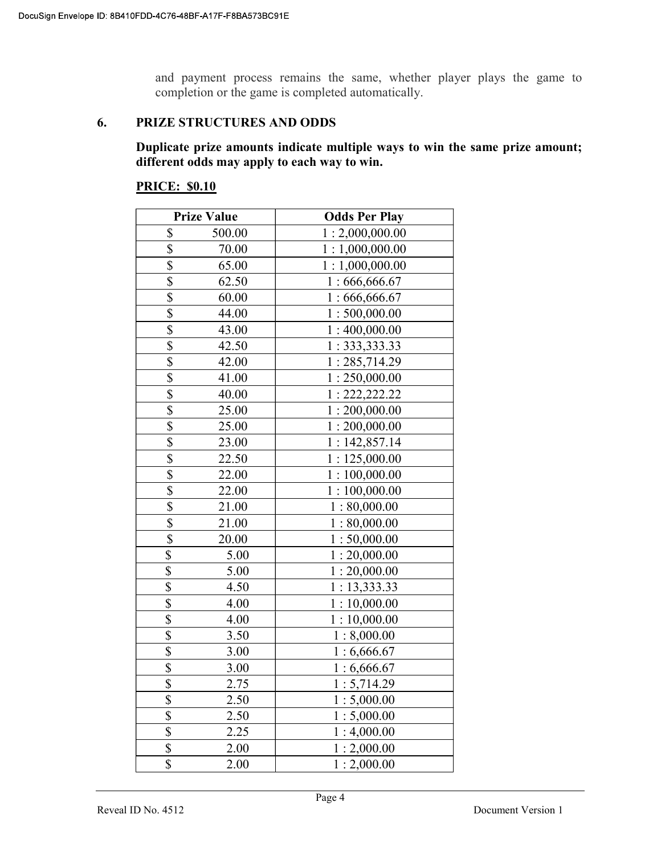and payment process remains the same, whether player plays the game to completion or the game is completed automatically.

#### 6. PRIZE STRUCTURES AND ODDS

Duplicate prize amounts indicate multiple ways to win the same prize amount; different odds may apply to each way to win.

#### PRICE: \$0.10

|                         | <b>Prize Value</b> | <b>Odds Per Play</b> |
|-------------------------|--------------------|----------------------|
| \$                      | 500.00             | 1:2,000,000.00       |
| \$                      | 70.00              | 1:1,000,000.00       |
| \$                      | 65.00              | 1:1,000,000.00       |
| \$                      | 62.50              | 1:666,666.67         |
| $\overline{\mathbb{S}}$ | 60.00              | 1:666,666.67         |
| \$                      | 44.00              | 1:500,000.00         |
| \$                      | 43.00              | 1:400,000.00         |
| \$                      | 42.50              | 1: 333, 333.33       |
| \$                      | 42.00              | 1:285,714.29         |
| \$                      | 41.00              | 1:250,000.00         |
| \$                      | 40.00              | 1: 222, 222.22       |
| $\overline{\$}$         | 25.00              | 1:200,000.00         |
| \$                      | 25.00              | 1:200,000.00         |
| \$                      | 23.00              | 1:142,857.14         |
| \$                      | 22.50              | 1:125,000.00         |
| \$                      | 22.00              | 1:100,000.00         |
| \$                      | 22.00              | 1:100,000.00         |
| \$                      | 21.00              | 1:80,000.00          |
| \$                      | 21.00              | 1:80,000.00          |
| $\overline{\$}$         | 20.00              | 1:50,000.00          |
| \$                      | 5.00               | 1:20,000.00          |
| \$                      | 5.00               | 1:20,000.00          |
| \$                      | 4.50               | 1:13,333.33          |
| \$                      | 4.00               | 1:10,000.00          |
| \$                      | 4.00               | 1:10,000.00          |
| \$                      | 3.50               | 1:8,000.00           |
| \$                      | 3.00               | 1:6,666.67           |
| \$                      | 3.00               | 1:6,666.67           |
| \$                      | 2.75               | 1:5,714.29           |
| \$                      | 2.50               | 1:5,000.00           |
| \$                      | 2.50               | 1:5,000.00           |
| \$                      | 2.25               | 1:4,000.00           |
| \$                      | 2.00               | 1:2,000.00           |
| \$                      | 2.00               | 1:2,000.00           |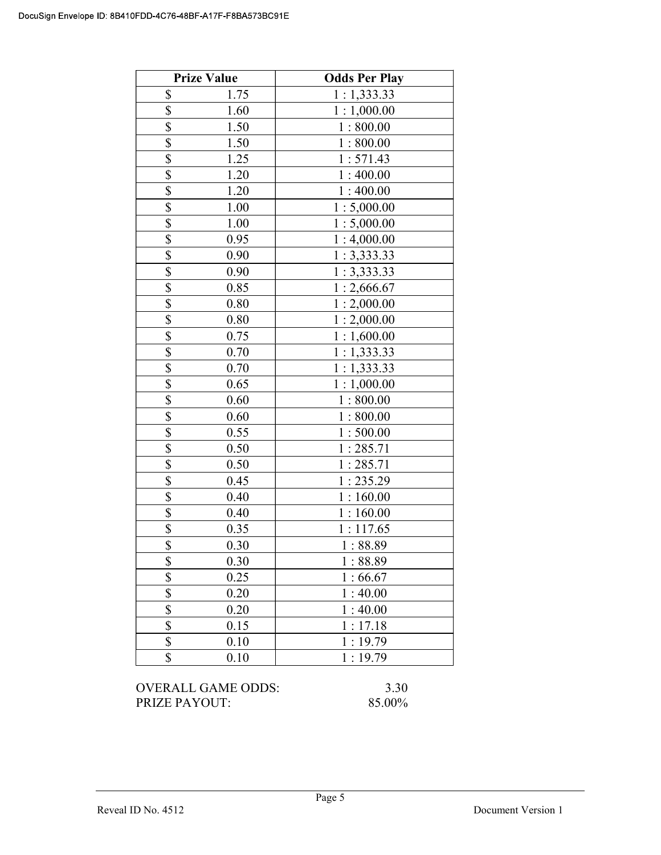|                         | <b>Prize Value</b> | <b>Odds Per Play</b> |
|-------------------------|--------------------|----------------------|
| \$                      | 1.75               | 1:1,333.33           |
| $\overline{\mathbb{S}}$ | 1.60               | 1:1,000.00           |
| $\overline{\$}$         | 1.50               | 1:800.00             |
| $\overline{\$}$         | 1.50               | 1:800.00             |
| \$                      | 1.25               | 1:571.43             |
| \$                      | 1.20               | 1:400.00             |
| \$                      | 1.20               | 1:400.00             |
| \$                      | 1.00               | 1:5,000.00           |
| \$                      | 1.00               | 1:5,000.00           |
| $\overline{\$}$         | 0.95               | 1:4,000.00           |
| $\overline{\$}$         | 0.90               | 1:3,333.33           |
| \$                      | 0.90               | 1:3,333.33           |
| \$                      | 0.85               | 1:2,666.67           |
| \$                      | 0.80               | 1:2,000.00           |
| \$                      | 0.80               | 1:2,000.00           |
| \$                      | 0.75               | 1:1,600.00           |
| \$                      | 0.70               | 1:1,333.33           |
| $\overline{\$}$         | 0.70               | 1:1,333.33           |
| \$                      | 0.65               | 1:1,000.00           |
| $\overline{\$}$         | 0.60               | 1:800.00             |
| $\overline{\$}$         | 0.60               | 1:800.00             |
| \$                      | 0.55               | 1:500.00             |
| \$                      | 0.50               | 1:285.71             |
| $\overline{\$}$         | 0.50               | 1:285.71             |
| $\overline{\$}$         | 0.45               | 1:235.29             |
| $\overline{\$}$         | 0.40               | 1:160.00             |
| \$                      | 0.40               | 1:160.00             |
| \$                      | 0.35               | 1:117.65             |
| \$                      | 0.30               | 1:88.89              |
| \$                      | 0.30               | 1:88.89              |
| \$                      | 0.25               | 1:66.67              |
| $\overline{\$}$         | 0.20               | 1:40.00              |
| \$                      | 0.20               | 1:40.00              |
| $\overline{\$}$         | 0.15               | 1:17.18              |
| \$                      | 0.10               | 1:19.79              |
| \$                      | 0.10               | 1:19.79              |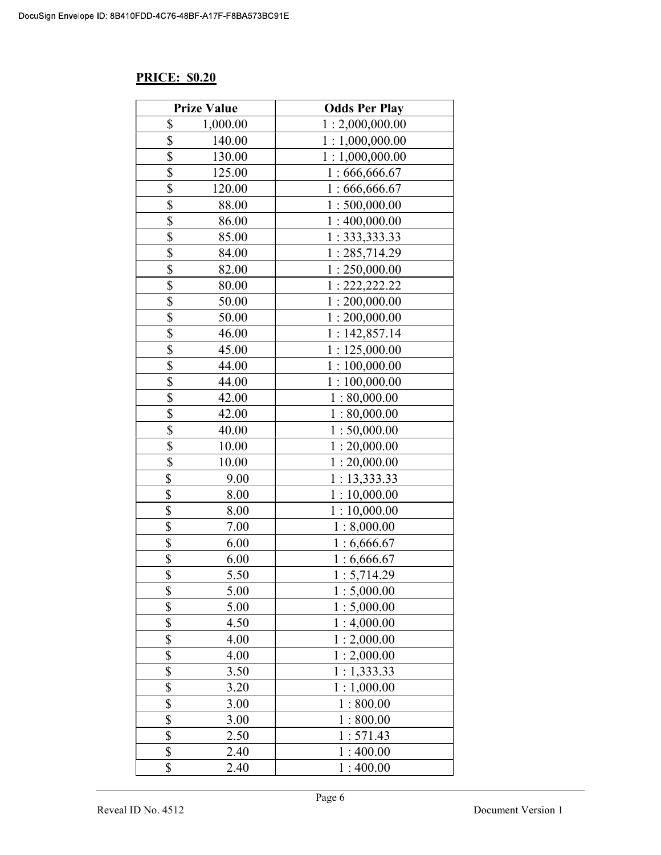#### PRICE: \$0.20

|                 | <b>Prize Value</b> | <b>Odds Per Play</b> |
|-----------------|--------------------|----------------------|
| \$              | 1,000.00           | 1:2,000,000.00       |
| \$              | 140.00             | 1:1,000,000.00       |
| \$              | 130.00             | 1:1,000,000.00       |
| \$              | 125.00             | 1:666,666.67         |
| \$              | 120.00             | 1:666,666.67         |
| \$              | 88.00              | 1:500,000.00         |
| \$              | 86.00              | 1:400,000.00         |
| \$              | 85.00              | 1: 333, 333.33       |
| \$              | 84.00              | 1:285,714.29         |
| $\overline{\$}$ | 82.00              | 1:250,000.00         |
| \$              | 80.00              | 1: 222, 222.22       |
| \$              | 50.00              | 1:200,000.00         |
| \$              | 50.00              | 1:200,000.00         |
| $rac{1}{s}$     | 46.00              | 1:142,857.14         |
|                 | 45.00              | 1:125,000.00         |
| \$              | 44.00              | 1:100,000.00         |
| $\overline{\$}$ | 44.00              | 1:100,000.00         |
| \$              | 42.00              | 1:80,000.00          |
| \$              | 42.00              | 1:80,000.00          |
| \$              | 40.00              | 1:50,000.00          |
| \$              | 10.00              | 1:20,000.00          |
| \$              | 10.00              | 1:20,000.00          |
| \$              | 9.00               | 1: 13,333.33         |
| $\overline{\$}$ | 8.00               | 1:10,000.00          |
| \$              | 8.00               | 1:10,000.00          |
| \$              | 7.00               | 1:8,000.00           |
| \$              | 6.00               | 1:6,666.67           |
| \$              | 6.00               | 1:6,666.67           |
| \$              | 5.50               | 1:5,714.29           |
| \$              | 5.00               | 1:5,000.00           |
| \$              | 5.00               | 1:5,000.00           |
| \$              | 4.50               | 1:4,000.00           |
| \$              | 4.00               | 1:2,000.00           |
| \$              | 4.00               | 1:2,000.00           |
| \$              | 3.50               | 1:1,333.33           |
| \$              | 3.20               | 1:1,000.00           |
| \$              | 3.00               | 1:800.00             |
| \$              | 3.00               | 1:800.00             |
| \$              | 2.50               | 1:571.43             |
| \$              | 2.40               | 1:400.00             |
| \$              | 2.40               | 1:400.00             |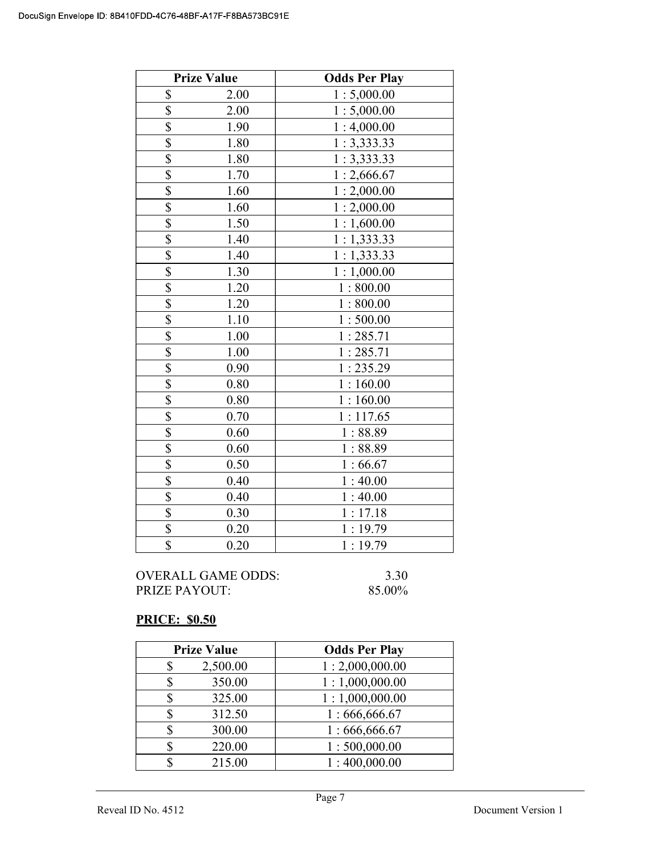|                          | <b>Prize Value</b> | <b>Odds Per Play</b> |
|--------------------------|--------------------|----------------------|
| \$                       | 2.00               | 1:5,000.00           |
| \$                       | 2.00               | 1:5,000.00           |
| \$                       | 1.90               | 1:4,000.00           |
| \$                       | 1.80               | 1:3,333.33           |
| \$                       | 1.80               | 1:3,333.33           |
| \$                       | 1.70               | 1:2,666.67           |
| \$                       | 1.60               | 1:2,000.00           |
| \$                       | 1.60               | 1:2,000.00           |
| $\overline{\mathcal{S}}$ | 1.50               | 1:1,600.00           |
| $\overline{\$}$          | 1.40               | 1:1,333.33           |
| \$                       | 1.40               | 1:1,333.33           |
| \$                       | 1.30               | 1:1,000.00           |
| \$                       | 1.20               | 1:800.00             |
| \$                       | 1.20               | 1:800.00             |
| \$                       | 1.10               | 1:500.00             |
| \$                       | 1.00               | 1:285.71             |
| $\overline{\mathbb{S}}$  | 1.00               | 1:285.71             |
| $\overline{\$}$          | 0.90               | 1:235.29             |
| \$                       | 0.80               | 1:160.00             |
| \$                       | 0.80               | 1:160.00             |
| \$                       | 0.70               | 1:117.65             |
| \$                       | 0.60               | 1:88.89              |
| \$                       | 0.60               | 1:88.89              |
| \$                       | 0.50               | 1:66.67              |
| $\overline{\$}$          | 0.40               | 1:40.00              |
| $\overline{\$}$          | 0.40               | 1:40.00              |
| \$                       | 0.30               | 1:17.18              |
| \$                       | 0.20               | 1:19.79              |
| \$                       | 0.20               | 1:19.79              |

#### PRICE: \$0.50

| <b>Prize Value</b> | <b>Odds Per Play</b> |
|--------------------|----------------------|
| 2,500.00           | 1:2,000,000.00       |
| 350.00             | 1:1,000,000.00       |
| 325.00             | 1:1,000,000.00       |
| 312.50             | 1:666,666.67         |
| 300.00             | 1:666,666.67         |
| 220.00             | 1:500,000.00         |
| 215.00             | 1:400,000.00         |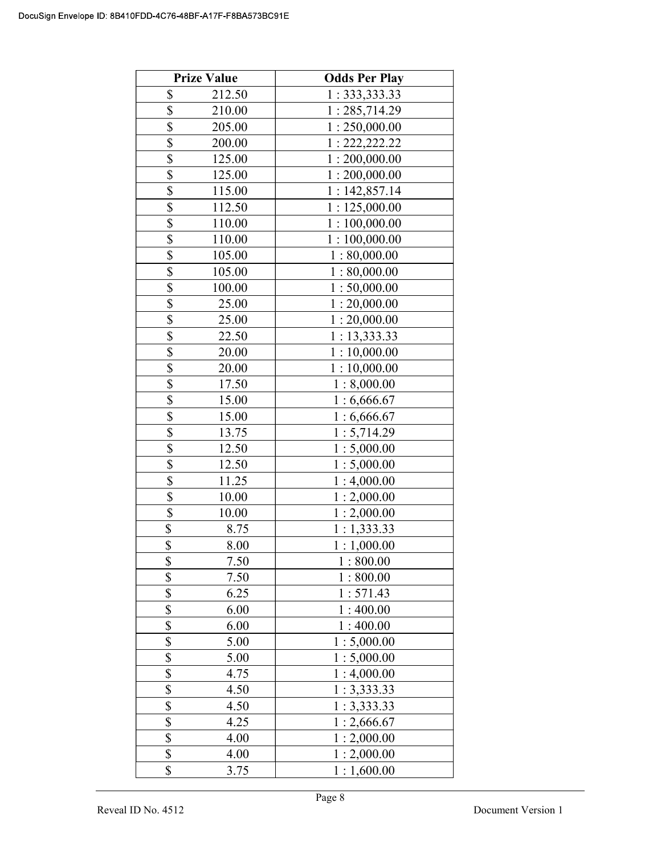|                         | <b>Prize Value</b> | <b>Odds Per Play</b> |
|-------------------------|--------------------|----------------------|
| \$                      | 212.50             | 1: 333, 333.33       |
| \$                      | 210.00             | 1:285,714.29         |
| \$                      | 205.00             | 1:250,000.00         |
| \$                      | 200.00             | 1: 222, 222.22       |
| \$                      | 125.00             | 1:200,000.00         |
| $\overline{\mathbb{S}}$ | 125.00             | 1:200,000.00         |
| \$                      | 115.00             | 1:142,857.14         |
| \$                      | 112.50             | 1:125,000.00         |
| \$                      | 110.00             | 1:100,000.00         |
| \$                      | 110.00             | 1:100,000.00         |
| \$                      | 105.00             | 1:80,000.00          |
| \$                      | 105.00             | 1:80,000.00          |
| $\overline{\mathbb{S}}$ | 100.00             | 1:50,000.00          |
| \$                      | 25.00              | 1:20,000.00          |
| \$                      | 25.00              | 1:20,000.00          |
| $\frac{1}{2}$           | 22.50              | 1: 13,333.33         |
| $\overline{\mathbb{S}}$ | 20.00              | 1:10,000.00          |
| \$                      | 20.00              | 1:10,000.00          |
| $\frac{1}{2}$           | 17.50              | 1:8,000.00           |
|                         | 15.00              | 1:6,666.67           |
| \$                      | 15.00              | 1:6,666.67           |
| \$                      | 13.75              | 1:5,714.29           |
| $\overline{\$}$         | 12.50              | 1:5,000.00           |
| \$                      | 12.50              | 1:5,000.00           |
| \$                      | 11.25              | 1:4,000.00           |
| \$                      | 10.00              | 1:2,000.00           |
| \$                      | 10.00              | 1:2,000.00           |
| \$                      | 8.75               | 1:1,333.33           |
| $\overline{\$}$         | 8.00               | 1:1,000.00           |
| \$                      | 7.50               | 1:800.00             |
| \$                      | 7.50               | 1:800.00             |
| \$                      | 6.25               | 1:571.43             |
| \$                      | 6.00               | 1:400.00             |
| \$                      | 6.00               | 1:400.00             |
| \$                      | 5.00               | 1:5,000.00           |
| \$                      | 5.00               | 1:5,000.00           |
| \$                      | 4.75               | 1:4,000.00           |
| \$                      | 4.50               | 1:3,333.33           |
| \$                      | 4.50               | 1:3,333.33           |
| \$                      | 4.25               | 1:2,666.67           |
| \$                      | 4.00               | 1:2,000.00           |
| \$                      | 4.00               | 1:2,000.00           |
| \$                      | 3.75               | 1:1,600.00           |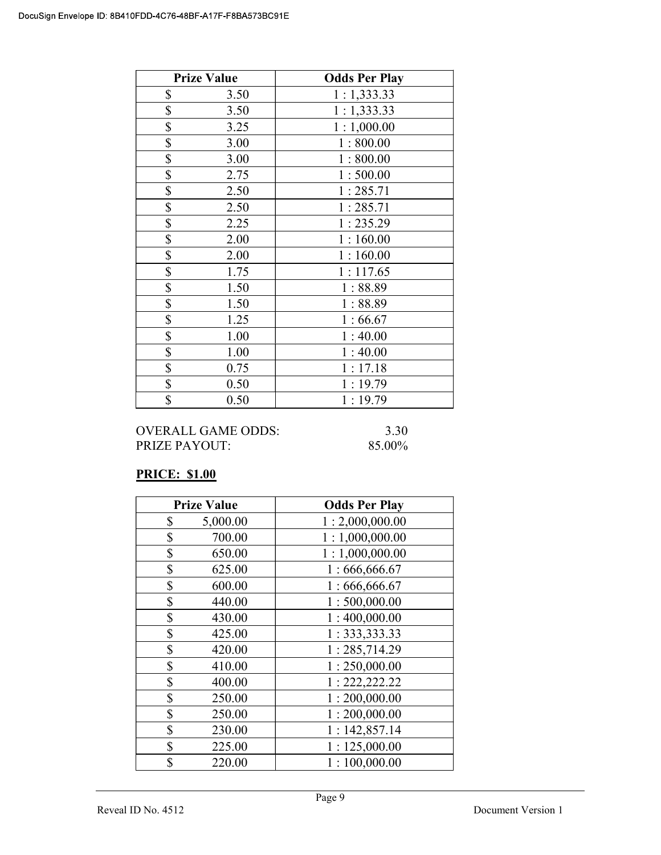| <b>Prize Value</b> | <b>Odds Per Play</b> |
|--------------------|----------------------|
| \$<br>3.50         | 1:1,333.33           |
| \$<br>3.50         | 1:1,333.33           |
| \$<br>3.25         | 1:1,000.00           |
| \$<br>3.00         | 1:800.00             |
| \$<br>3.00         | 1:800.00             |
| \$<br>2.75         | 1:500.00             |
| \$<br>2.50         | 1:285.71             |
| \$<br>2.50         | 1:285.71             |
| \$<br>2.25         | 1:235.29             |
| \$<br>2.00         | 1:160.00             |
| \$<br>2.00         | 1:160.00             |
| \$<br>1.75         | 1:117.65             |
| \$<br>1.50         | 1:88.89              |
| \$<br>1.50         | 1:88.89              |
| \$<br>1.25         | 1:66.67              |
| \$<br>1.00         | 1:40.00              |
| \$<br>1.00         | 1:40.00              |
| \$<br>0.75         | 1:17.18              |
| \$<br>0.50         | 1:19.79              |
| \$<br>0.50         | 1:19.79              |

OVERALL GAME ODDS: 3.30 PRIZE PAYOUT: 85.00%

#### PRICE: \$1.00

| <b>Prize Value</b> |          | <b>Odds Per Play</b> |
|--------------------|----------|----------------------|
| \$                 | 5,000.00 | 1:2,000,000.00       |
| \$                 | 700.00   | 1:1,000,000.00       |
| \$                 | 650.00   | 1:1,000,000.00       |
| \$                 | 625.00   | 1:666,666.67         |
| \$                 | 600.00   | 1:666,666.67         |
| \$                 | 440.00   | 1:500,000.00         |
| \$                 | 430.00   | 1:400,000.00         |
| \$                 | 425.00   | 1: 333, 333.33       |
| \$                 | 420.00   | 1:285,714.29         |
| \$                 | 410.00   | 1:250,000.00         |
| \$                 | 400.00   | 1: 222, 222.22       |
| \$                 | 250.00   | 1:200,000.00         |
| \$                 | 250.00   | 1:200,000.00         |
| \$                 | 230.00   | 1:142,857.14         |
| \$                 | 225.00   | 1:125,000.00         |
| \$                 | 220.00   | 1:100,000.00         |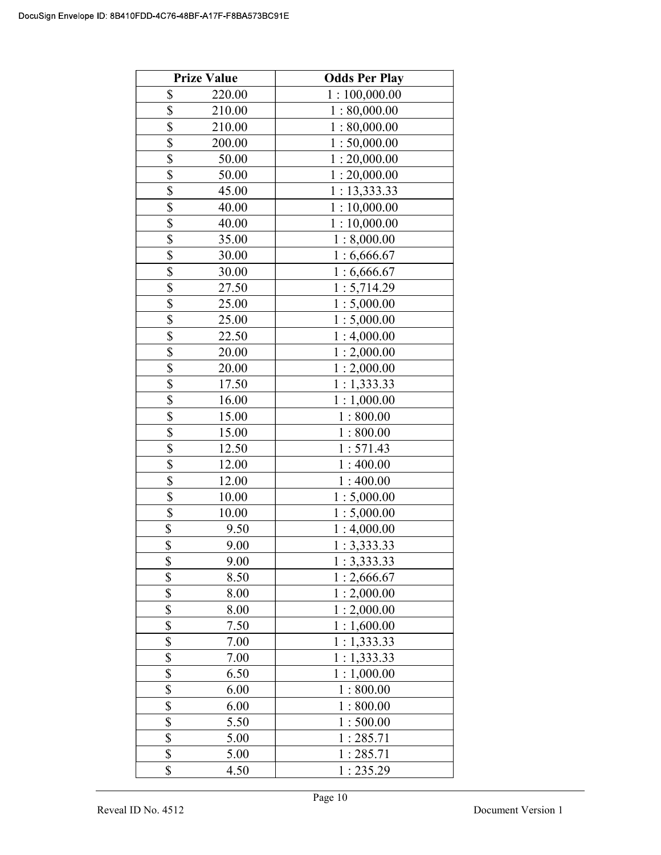|                         | <b>Prize Value</b> | <b>Odds Per Play</b> |
|-------------------------|--------------------|----------------------|
| \$                      | 220.00             | 1:100,000.00         |
| \$                      | 210.00             | 1:80,000.00          |
| \$                      | 210.00             | 1:80,000.00          |
| \$                      | 200.00             | 1:50,000.00          |
| \$                      | 50.00              | 1:20,000.00          |
| \$                      | 50.00              | 1:20,000.00          |
| \$                      | 45.00              | 1:13,333.33          |
| \$                      | 40.00              | 1:10,000.00          |
| \$                      | 40.00              | 1:10,000.00          |
| \$                      | 35.00              | 1:8,000.00           |
| \$                      | 30.00              | 1:6,666.67           |
| \$                      | 30.00              | 1:6,666.67           |
| \$                      | 27.50              | 1:5,714.29           |
| $\overline{\mathbb{S}}$ | 25.00              | 1:5,000.00           |
| \$                      | 25.00              | 1:5,000.00           |
| \$                      | 22.50              | 1:4,000.00           |
| \$                      | 20.00              | 1:2,000.00           |
| \$                      | 20.00              | 1:2,000.00           |
| \$                      | 17.50              | 1:1,333.33           |
| $\overline{\mathbb{S}}$ | 16.00              | 1:1,000.00           |
| \$                      | 15.00              | 1:800.00             |
| \$                      | 15.00              | 1:800.00             |
| \$                      | 12.50              | 1:571.43             |
| \$                      | 12.00              | 1:400.00             |
| \$                      | 12.00              | 1:400.00             |
| \$                      | 10.00              | 1:5,000.00           |
| \$                      | 10.00              | 1:5,000.00           |
| \$                      | 9.50               | 1:4,000.00           |
| $\overline{\$}$         | 9.00               | 1:3,333.33           |
| \$                      | 9.00               | 1:3,333.33           |
| \$                      | 8.50               | 1:2,666.67           |
| \$                      | 8.00               | 1:2,000.00           |
| \$                      | 8.00               | 1:2,000.00           |
| \$                      | 7.50               | 1:1,600.00           |
| \$                      | 7.00               | 1:1,333.33           |
| \$                      | 7.00               | 1:1,333.33           |
| \$                      | 6.50               | 1:1,000.00           |
| \$                      | 6.00               | 1:800.00             |
| \$                      | 6.00               | 1:800.00             |
| \$                      | 5.50               | 1:500.00             |
| \$                      | 5.00               | 1:285.71             |
| \$                      | 5.00               | 1:285.71             |
| \$                      | 4.50               | 1:235.29             |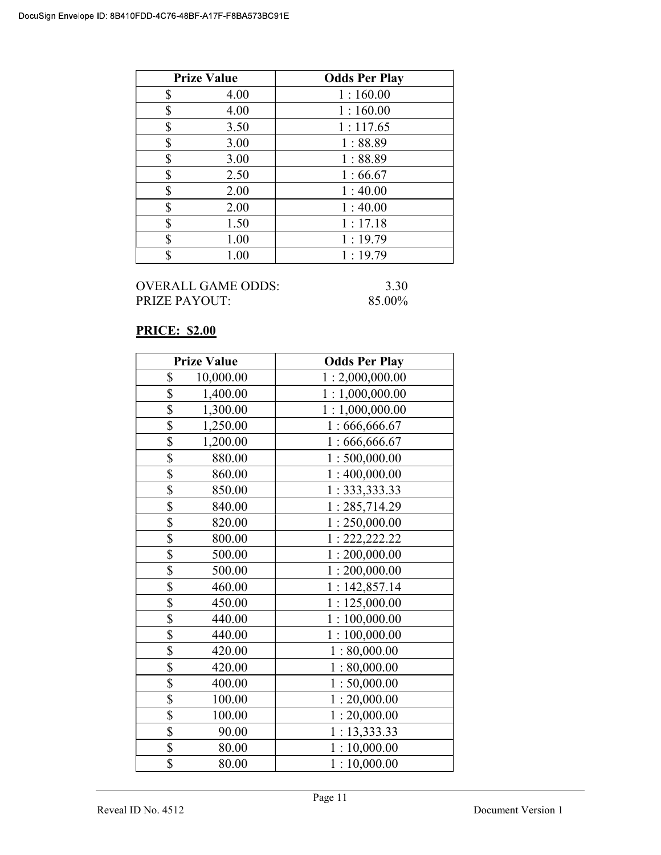|    | <b>Prize Value</b> | <b>Odds Per Play</b> |
|----|--------------------|----------------------|
| \$ | 4.00               | 1:160.00             |
| \$ | 4.00               | 1:160.00             |
| \$ | 3.50               | 1:117.65             |
| \$ | 3.00               | 1:88.89              |
| \$ | 3.00               | 1:88.89              |
| \$ | 2.50               | 1:66.67              |
| \$ | 2.00               | 1:40.00              |
| \$ | 2.00               | 1:40.00              |
| \$ | 1.50               | 1:17.18              |
| \$ | 1.00               | 1:19.79              |
| ¢  | 1.00               | 1:19.79              |

#### PRICE: \$2.00

|                         | <b>Prize Value</b> | <b>Odds Per Play</b> |
|-------------------------|--------------------|----------------------|
| \$                      | 10,000.00          | 1:2,000,000.00       |
| \$                      | 1,400.00           | 1:1,000,000.00       |
| \$                      | 1,300.00           | 1:1,000,000.00       |
| \$                      | 1,250.00           | 1:666,666.67         |
| $\overline{\$}$         | 1,200.00           | 1:666,666.67         |
| \$                      | 880.00             | 1:500,000.00         |
| \$                      | 860.00             | 1:400,000.00         |
| \$                      | 850.00             | 1: 333, 333.33       |
| $\overline{\$}$         | 840.00             | 1:285,714.29         |
| \$                      | 820.00             | 1:250,000.00         |
| \$                      | 800.00             | 1: 222, 222.22       |
| \$                      | 500.00             | 1:200,000.00         |
| \$                      | 500.00             | 1:200,000.00         |
| \$                      | 460.00             | 1:142,857.14         |
| \$                      | 450.00             | 1:125,000.00         |
| $\overline{\mathbb{S}}$ | 440.00             | 1:100,000.00         |
| \$                      | 440.00             | 1:100,000.00         |
| $\overline{\mathbb{S}}$ | 420.00             | 1:80,000.00          |
| \$                      | 420.00             | 1:80,000.00          |
| \$                      | 400.00             | 1:50,000.00          |
| \$                      | 100.00             | 1:20,000.00          |
| \$                      | 100.00             | 1:20,000.00          |
| $\overline{\$}$         | 90.00              | 1: 13,333.33         |
| \$                      | 80.00              | 1:10,000.00          |
| \$                      | 80.00              | 1:10,000.00          |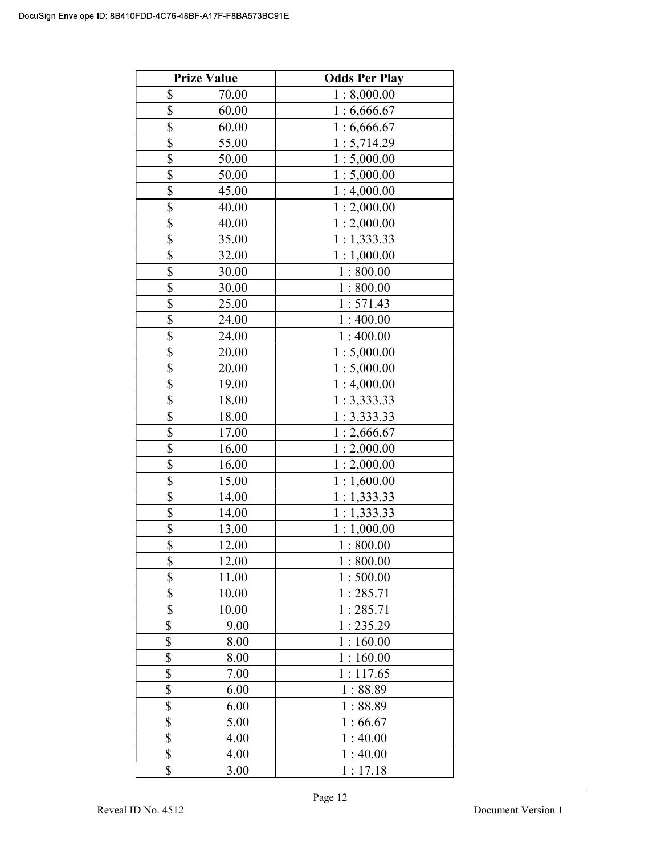|                         | <b>Prize Value</b> | <b>Odds Per Play</b> |
|-------------------------|--------------------|----------------------|
| \$                      | 70.00              | 1:8,000.00           |
| \$                      | 60.00              | 1:6,666.67           |
| \$                      | 60.00              | 1:6,666.67           |
| \$                      | 55.00              | 1:5,714.29           |
| \$                      | 50.00              | 1:5,000.00           |
| \$                      | 50.00              | 1:5,000.00           |
| $\overline{\$}$         | 45.00              | 1:4,000.00           |
| \$                      | 40.00              | 1:2,000.00           |
| \$                      | 40.00              | 1:2,000.00           |
| \$                      | 35.00              | 1:1,333.33           |
| \$                      | 32.00              | 1:1,000.00           |
| \$                      | 30.00              | 1:800.00             |
| $\overline{\mathbb{S}}$ | 30.00              | 1:800.00             |
| $\overline{\mathbb{S}}$ | 25.00              | 1:571.43             |
| \$                      | 24.00              | 1:400.00             |
| \$                      | 24.00              | 1:400.00             |
| \$                      | 20.00              | 1:5,000.00           |
| \$                      | 20.00              | 1:5,000.00           |
| \$                      | 19.00              | 1:4,000.00           |
| $\overline{\$}$         | 18.00              | 1:3,333.33           |
| \$                      | 18.00              | 1:3,333.33           |
| \$                      | 17.00              | 1:2,666.67           |
| $\overline{\mathbb{S}}$ | 16.00              | 1:2,000.00           |
| \$                      | 16.00              | 1:2,000.00           |
| \$                      | 15.00              | 1:1,600.00           |
|                         | 14.00              | 1:1,333.33           |
| $\frac{\$}{\$}$         | 14.00              | 1:1,333.33           |
|                         | 13.00              | 1:1,000.00           |
| $\overline{\$}$         | 12.00              | 1:800.00             |
| \$                      | 12.00              | 1:800.00             |
| \$                      | 11.00              | 1:500.00             |
| \$                      | 10.00              | 1:285.71             |
| \$                      | 10.00              | 1:285.71             |
| \$                      | 9.00               | 1:235.29             |
| \$                      | 8.00               | 1:160.00             |
| \$                      | 8.00               | 1:160.00             |
| $\overline{\$}$         | 7.00               | 1:117.65             |
| \$                      | 6.00               | 1:88.89              |
| \$                      | 6.00               | 1:88.89              |
| \$                      | 5.00               | 1:66.67              |
| \$                      | 4.00               | 1:40.00              |
| \$                      | 4.00               | 1:40.00              |
| \$                      | 3.00               | 1:17.18              |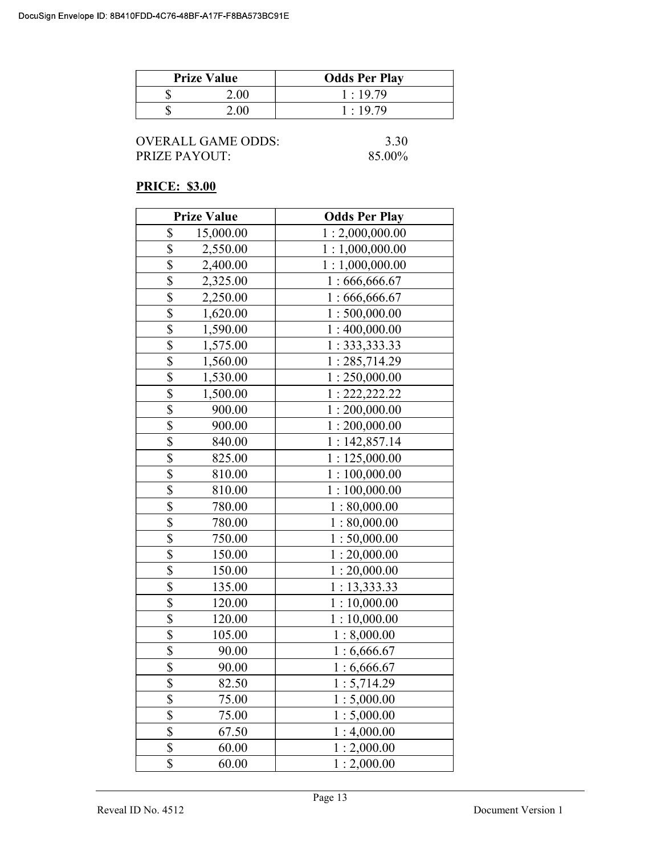| <b>Prize Value</b> | <b>Odds Per Play</b> |
|--------------------|----------------------|
| $200 -$            | 1:19.79              |
| 2 UU               | 1:19.79              |

| OVERALL GAME ODDS: |  |
|--------------------|--|
| PRIZE PAYOUT:      |  |

 $3.30$  $85.00\%$ 

# PRICE: \$3.00

|                          | <b>Prize Value</b> | <b>Odds Per Play</b> |
|--------------------------|--------------------|----------------------|
| \$                       | 15,000.00          | 1:2,000,000.00       |
| \$                       | 2,550.00           | 1:1,000,000.00       |
| \$                       | 2,400.00           | 1:1,000,000.00       |
| \$                       | 2,325.00           | 1:666,666.67         |
| \$                       | 2,250.00           | 1:666,666.67         |
| \$                       | 1,620.00           | 1:500,000.00         |
| $\overline{\mathbb{S}}$  | 1,590.00           | 1:400,000.00         |
| $\overline{\mathbb{S}}$  | 1,575.00           | 1: 333, 333.33       |
| \$                       | 1,560.00           | 1:285,714.29         |
| \$                       | 1,530.00           | 1:250,000.00         |
| \$                       | 1,500.00           | 1: 222, 222.22       |
| \$                       | 900.00             | 1:200,000.00         |
| \$                       | 900.00             | 1:200,000.00         |
| \$                       | 840.00             | 1:142,857.14         |
| \$                       | 825.00             | 1:125,000.00         |
| $\overline{\mathbb{S}}$  | 810.00             | 1:100,000.00         |
| \$                       | 810.00             | 1:100,000.00         |
| \$                       | 780.00             | 1:80,000.00          |
| \$                       | 780.00             | 1:80,000.00          |
| $\overline{\mathcal{S}}$ | 750.00             | 1:50,000.00          |
| \$                       | 150.00             | 1:20,000.00          |
| \$                       | 150.00             | 1:20,000.00          |
| \$                       | 135.00             | 1: 13,333.33         |
| \$                       | 120.00             | 1:10,000.00          |
| \$                       | 120.00             | 1:10,000.00          |
| \$                       | 105.00             | 1:8,000.00           |
| \$                       | 90.00              | 1:6,666.67           |
| \$                       | 90.00              | 1:6,666.67           |
| $\overline{\$}$          | 82.50              | 1:5,714.29           |
| \$                       | 75.00              | 1:5,000.00           |
| $\overline{\$}$          | 75.00              | 1:5,000.00           |
| \$                       | 67.50              | 1:4,000.00           |
| \$                       | 60.00              | 1:2,000.00           |
| \$                       | 60.00              | 1:2,000.00           |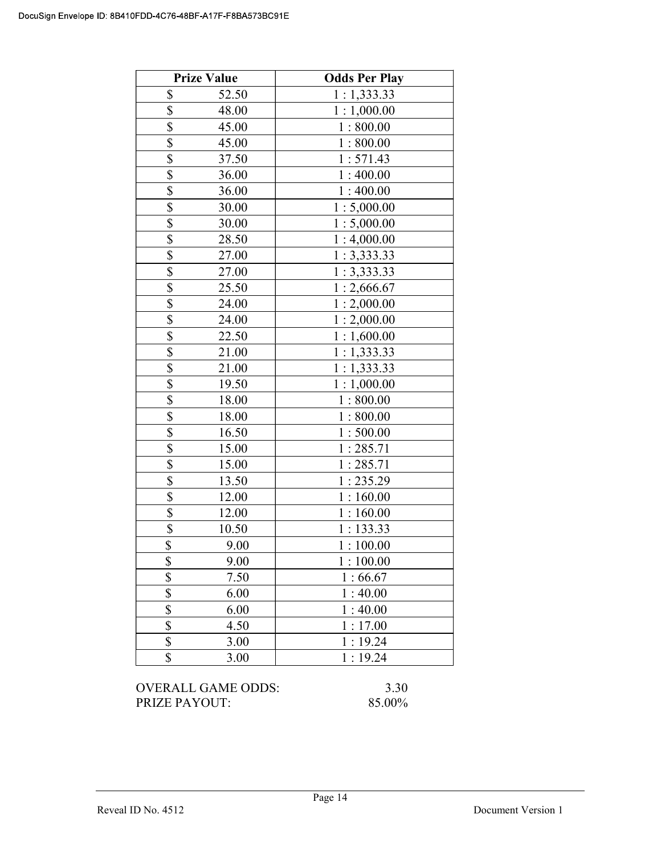|                         | <b>Prize Value</b> | <b>Odds Per Play</b> |
|-------------------------|--------------------|----------------------|
| \$                      | 52.50              | 1:1,333.33           |
| $\overline{\mathbb{S}}$ | 48.00              | 1:1,000.00           |
| $\overline{\$}$         | 45.00              | 1:800.00             |
| $\overline{\$}$         | 45.00              | 1:800.00             |
| \$                      | 37.50              | 1:571.43             |
| \$                      | 36.00              | 1:400.00             |
| \$                      | 36.00              | 1:400.00             |
| \$                      | 30.00              | 1:5,000.00           |
| \$                      | 30.00              | 1:5,000.00           |
| \$                      | 28.50              | 1:4,000.00           |
| \$                      | 27.00              | 1:3,333.33           |
| \$                      | 27.00              | 1:3,333.33           |
| \$                      | 25.50              | 1:2,666.67           |
| \$                      | 24.00              | 1:2,000.00           |
| \$                      | 24.00              | 1:2,000.00           |
| \$                      | 22.50              | 1:1,600.00           |
| $\overline{\$}$         | 21.00              | 1:1,333.33           |
| $\overline{\mathbb{S}}$ | 21.00              | 1:1,333.33           |
| \$                      | 19.50              | 1:1,000.00           |
| \$                      | 18.00              | 1:800.00             |
| \$                      | 18.00              | 1:800.00             |
| \$                      | 16.50              | 1:500.00             |
| \$                      | 15.00              | 1:285.71             |
| $rac{1}{3}$             | 15.00              | 1:285.71             |
|                         | 13.50              | 1:235.29             |
| $\overline{\$}$         | 12.00              | 1:160.00             |
| \$                      | 12.00              | 1:160.00             |
| \$                      | 10.50              | 1:133.33             |
| \$                      | 9.00               | 1:100.00             |
| \$                      | 9.00               | 1:100.00             |
| \$                      | 7.50               | 1:66.67              |
| $\overline{\$}$         | 6.00               | 1:40.00              |
| \$                      | 6.00               | 1:40.00              |
| \$                      | 4.50               | 1:17.00              |
| \$                      | 3.00               | 1:19.24              |
| \$                      | 3.00               | 1:19.24              |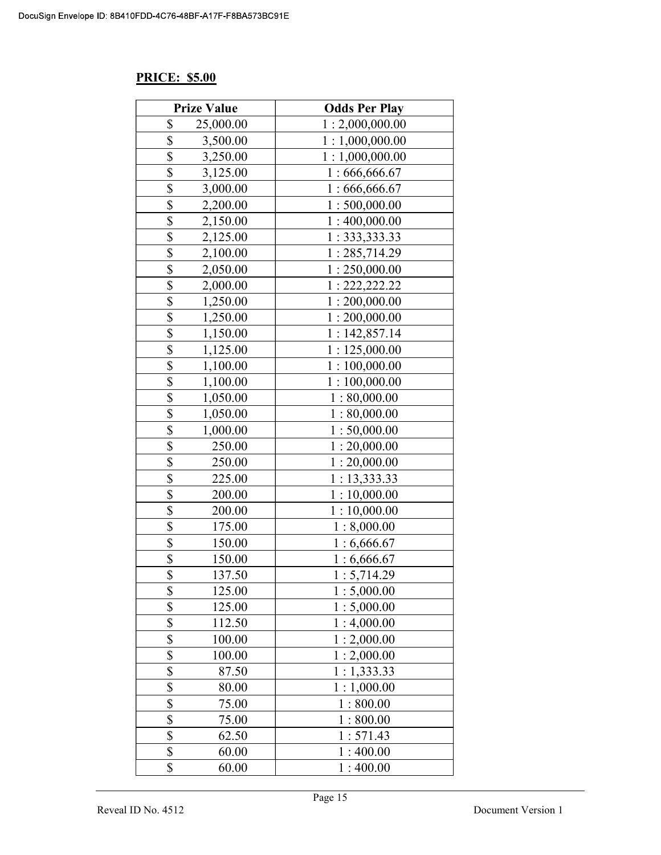#### PRICE: \$5.00

| <b>Prize Value</b>                  | <b>Odds Per Play</b> |
|-------------------------------------|----------------------|
| \$<br>25,000.00                     | 1:2,000,000.00       |
| \$<br>3,500.00                      | 1:1,000,000.00       |
| \$<br>3,250.00                      | 1:1,000,000.00       |
| $\overline{\mathbb{S}}$<br>3,125.00 | 1:666,666.67         |
| \$<br>3,000.00                      | 1:666,666.67         |
| $\overline{\mathbb{S}}$<br>2,200.00 | 1:500,000.00         |
| \$<br>2,150.00                      | 1:400,000.00         |
| \$<br>2,125.00                      | 1: 333, 333.33       |
| \$<br>2,100.00                      | 1:285,714.29         |
| \$<br>2,050.00                      | 1:250,000.00         |
| \$<br>2,000.00                      | 1: 222, 222.22       |
| \$<br>1,250.00                      | 1:200,000.00         |
| $\overline{\mathbb{S}}$<br>1,250.00 | 1:200,000.00         |
| \$<br>1,150.00                      | 1:142,857.14         |
| \$<br>1,125.00                      | 1:125,000.00         |
| \$<br>1,100.00                      | 1:100,000.00         |
| \$<br>1,100.00                      | 1:100,000.00         |
| $rac{1}{s}$<br>1,050.00             | 1:80,000.00          |
| 1,050.00                            | 1:80,000.00          |
| \$<br>1,000.00                      | 1:50,000.00          |
| \$<br>250.00                        | 1:20,000.00          |
| \$<br>250.00                        | 1:20,000.00          |
| \$<br>225.00                        | 1: 13,333.33         |
| \$<br>200.00                        | 1:10,000.00          |
| \$<br>200.00                        | 1:10,000.00          |
| $\overline{\mathbb{S}}$<br>175.00   | 1:8,000.00           |
| \$<br>150.00                        | 1:6,666.67           |
| \$<br>150.00                        | 1:6,666.67           |
| $\overline{\$}$<br>137.50           | 1:5,714.29           |
| \$<br>125.00                        | 1:5,000.00           |
| \$<br>125.00                        | 1:5,000.00           |
| \$<br>112.50                        | 1:4,000.00           |
| \$<br>100.00                        | 1:2,000.00           |
| \$<br>100.00                        | 1:2,000.00           |
| \$<br>87.50                         | 1:1,333.33           |
| $\overline{\mathbb{S}}$<br>80.00    | 1:1,000.00           |
| \$<br>75.00                         | 1:800.00             |
| \$<br>75.00                         | 1:800.00             |
| \$<br>62.50                         | 1:571.43             |
| \$<br>60.00                         | 1:400.00             |
| \$<br>60.00                         | 1:400.00             |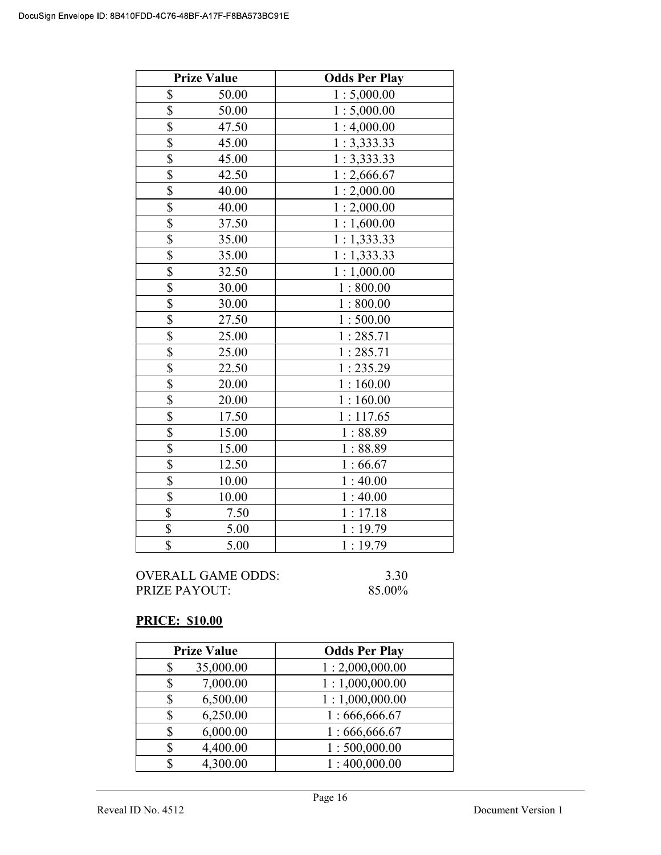|                           | <b>Prize Value</b> | <b>Odds Per Play</b> |
|---------------------------|--------------------|----------------------|
| \$                        | 50.00              | 1:5,000.00           |
| \$                        | 50.00              | 1:5,000.00           |
| \$                        | 47.50              | 1:4,000.00           |
| $\overline{\$}$           | 45.00              | 1:3,333.33           |
| \$                        | 45.00              | 1:3,333.33           |
| \$                        | 42.50              | 1:2,666.67           |
| \$                        | 40.00              | 1:2,000.00           |
| \$                        | 40.00              | 1:2,000.00           |
| $\boldsymbol{\mathsf{S}}$ | 37.50              | 1:1,600.00           |
| $\overline{\$}$           | 35.00              | 1:1,333.33           |
| $\overline{\mathbb{S}}$   | 35.00              | 1:1,333.33           |
| \$                        | 32.50              | 1:1,000.00           |
| \$                        | 30.00              | 1:800.00             |
| \$                        | 30.00              | 1:800.00             |
| \$                        | 27.50              | 1:500.00             |
| \$                        | 25.00              | 1:285.71             |
| $\overline{\mathbb{S}}$   | 25.00              | 1:285.71             |
| \$                        | 22.50              | 1:235.29             |
| \$                        | 20.00              | 1:160.00             |
| \$                        | 20.00              | 1:160.00             |
| \$                        | 17.50              | 1:117.65             |
| \$                        | 15.00              | 1:88.89              |
| \$                        | 15.00              | 1:88.89              |
| \$                        | 12.50              | 1:66.67              |
| $\overline{\mathbb{S}}$   | 10.00              | 1:40.00              |
| $\overline{\mathbb{S}}$   | 10.00              | 1:40.00              |
| $\boldsymbol{\mathsf{S}}$ | 7.50               | 1:17.18              |
| $\boldsymbol{\mathsf{S}}$ | 5.00               | 1:19.79              |
| $\overline{\mathbb{S}}$   | 5.00               | 1:19.79              |

# PRICE: \$10.00

| <b>Prize Value</b> | <b>Odds Per Play</b> |
|--------------------|----------------------|
| 35,000.00<br>S     | 1:2,000,000.00       |
| 7,000.00           | 1:1,000,000.00       |
| 6,500.00           | 1:1,000,000.00       |
| 6,250.00           | 1:666,666.67         |
| 6,000.00           | 1:666,666.67         |
| 4,400.00           | 1:500,000.00         |
| 4,300.00<br>S      | 1:400,000.00         |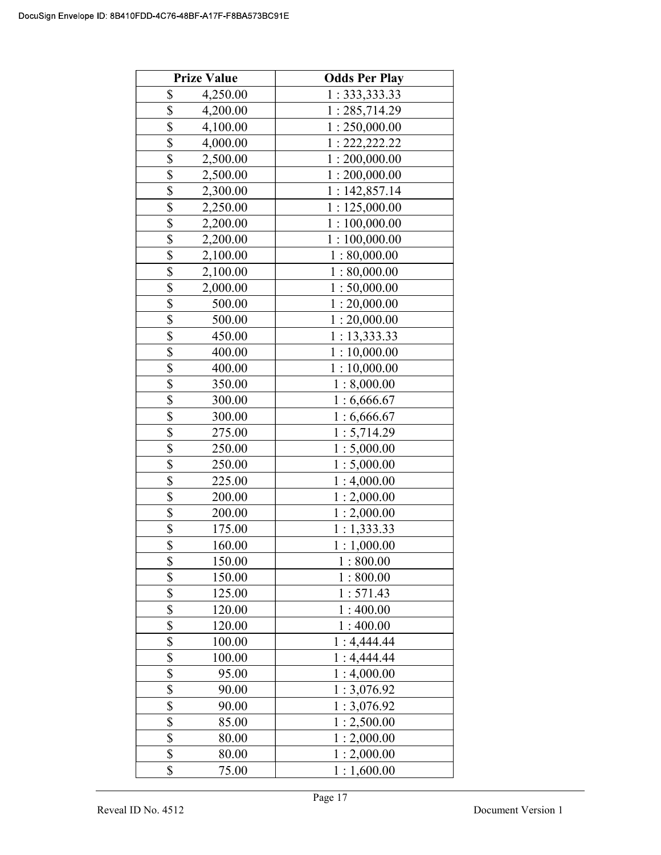|                         | <b>Prize Value</b> | <b>Odds Per Play</b> |
|-------------------------|--------------------|----------------------|
| \$                      | 4,250.00           | 1: 333, 333.33       |
| \$                      | 4,200.00           | 1:285,714.29         |
| \$                      | 4,100.00           | 1:250,000.00         |
| \$                      | 4,000.00           | 1: 222, 222.22       |
| \$                      | 2,500.00           | 1:200,000.00         |
| \$                      | 2,500.00           | 1:200,000.00         |
| \$                      | 2,300.00           | 1:142,857.14         |
| \$                      | 2,250.00           | 1:125,000.00         |
| \$                      | 2,200.00           | 1:100,000.00         |
| \$                      | 2,200.00           | 1:100,000.00         |
| \$                      | 2,100.00           | 1:80,000.00          |
| \$                      | 2,100.00           | 1:80,000.00          |
| \$                      | 2,000.00           | 1:50,000.00          |
| $\overline{\mathbb{S}}$ | 500.00             | 1:20,000.00          |
| \$                      | 500.00             | 1:20,000.00          |
| \$                      | 450.00             | 1:13,333.33          |
| \$                      | 400.00             | 1:10,000.00          |
| \$                      | 400.00             | 1:10,000.00          |
| \$                      | 350.00             | 1:8,000.00           |
| $\overline{\mathbb{S}}$ | 300.00             | 1:6,666.67           |
| \$                      | 300.00             | 1:6,666.67           |
| \$                      | 275.00             | 1:5,714.29           |
| \$                      | 250.00             | 1:5,000.00           |
| \$                      | 250.00             | 1:5,000.00           |
| \$                      | 225.00             | 1:4,000.00           |
| \$                      | 200.00             | 1:2,000.00           |
| $\overline{\mathbb{S}}$ | 200.00             | 1:2,000.00           |
| $\overline{\$}$         | 175.00             | 1:1,333.33           |
| $\overline{\$}$         | 160.00             | 1:1,000.00           |
| \$                      | 150.00             | 1:800.00             |
| \$                      | 150.00             | 1:800.00             |
| \$                      | 125.00             | 1:571.43             |
| \$                      | 120.00             | 1:400.00             |
| \$                      | 120.00             | 1:400.00             |
| \$                      | 100.00             | 1:4,444.44           |
| \$                      | 100.00             | 1:4,444.44           |
| $\overline{\$}$         | 95.00              | 1:4,000.00           |
| \$                      | 90.00              | 1:3,076.92           |
| \$                      | 90.00              | 1:3,076.92           |
| \$                      | 85.00              | 1:2,500.00           |
| \$                      | 80.00              | 1:2,000.00           |
| \$                      | 80.00              | 1:2,000.00           |
| \$                      | 75.00              | 1:1,600.00           |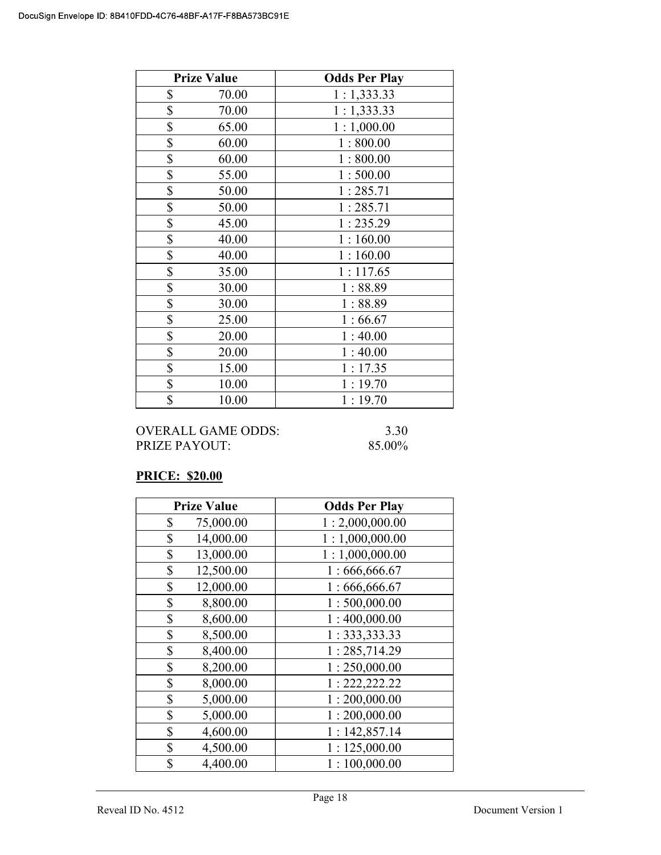| <b>Prize Value</b> | <b>Odds Per Play</b> |
|--------------------|----------------------|
| \$<br>70.00        | 1:1,333.33           |
| \$<br>70.00        | 1:1,333.33           |
| \$<br>65.00        | 1:1,000.00           |
| \$<br>60.00        | 1:800.00             |
| \$<br>60.00        | 1:800.00             |
| \$<br>55.00        | 1:500.00             |
| \$<br>50.00        | 1:285.71             |
| \$<br>50.00        | 1:285.71             |
| \$<br>45.00        | 1:235.29             |
| \$<br>40.00        | 1:160.00             |
| \$<br>40.00        | 1:160.00             |
| \$<br>35.00        | 1:117.65             |
| \$<br>30.00        | 1:88.89              |
| \$<br>30.00        | 1:88.89              |
| \$<br>25.00        | 1:66.67              |
| \$<br>20.00        | 1:40.00              |
| \$<br>20.00        | 1:40.00              |
| \$<br>15.00        | 1:17.35              |
| \$<br>10.00        | 1:19.70              |
| \$<br>10.00        | 1:19.70              |

OVERALL GAME ODDS: 3.30 PRIZE PAYOUT: 85.00%

## PRICE: \$20.00

| <b>Prize Value</b> | <b>Odds Per Play</b> |
|--------------------|----------------------|
| \$<br>75,000.00    | 1:2,000,000.00       |
| 14,000.00<br>\$    | 1:1,000,000.00       |
| 13,000.00<br>\$    | 1:1,000,000.00       |
| 12,500.00<br>\$    | 1:666,666.67         |
| 12,000.00<br>\$    | 1:666,666.67         |
| \$<br>8,800.00     | 1:500,000.00         |
| \$<br>8,600.00     | 1:400,000.00         |
| 8,500.00<br>\$     | 1: 333, 333.33       |
| \$<br>8,400.00     | 1:285,714.29         |
| 8,200.00<br>\$     | 1:250,000.00         |
| \$<br>8,000.00     | 1: 222, 222.22       |
| 5,000.00<br>\$     | 1:200,000.00         |
| \$<br>5,000.00     | 1:200,000.00         |
| \$<br>4,600.00     | 1:142,857.14         |
| 4,500.00<br>\$     | 1:125,000.00         |
| 4,400.00<br>\$     | 1:100,000.00         |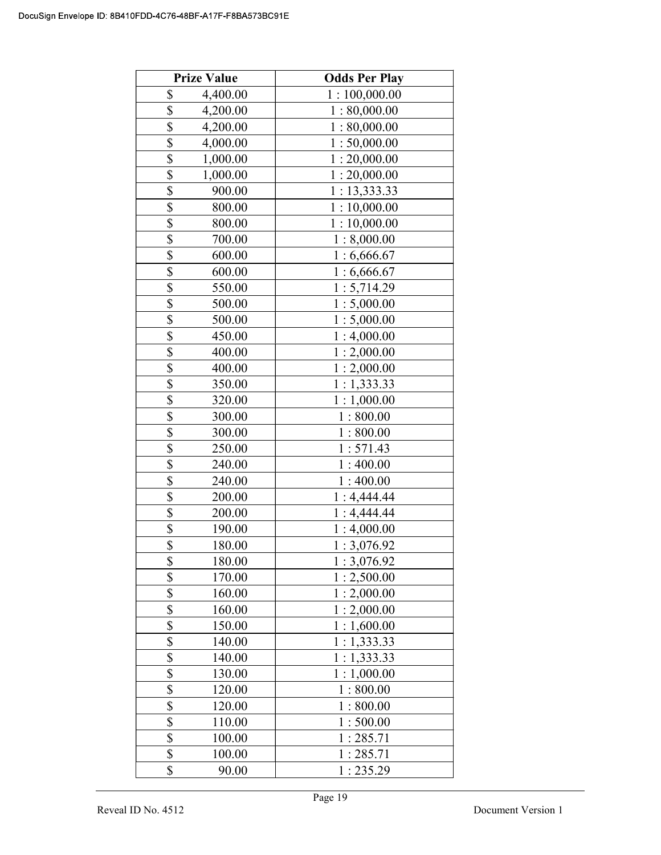|                          | <b>Prize Value</b> | <b>Odds Per Play</b> |
|--------------------------|--------------------|----------------------|
| \$                       | 4,400.00           | 1:100,000.00         |
| $\overline{\$}$          | 4,200.00           | 1:80,000.00          |
| \$                       | 4,200.00           | 1:80,000.00          |
| $\overline{\$}$          | 4,000.00           | 1:50,000.00          |
| \$                       | 1,000.00           | 1:20,000.00          |
| \$                       | 1,000.00           | 1:20,000.00          |
| \$                       | 900.00             | 1:13,333.33          |
| $\overline{\mathbb{S}}$  | 800.00             | 1:10,000.00          |
| \$                       | 800.00             | 1:10,000.00          |
| $\overline{\$}$          | 700.00             | 1:8,000.00           |
| \$                       | 600.00             | 1:6,666.67           |
| \$                       | 600.00             | 1:6,666.67           |
| \$                       | 550.00             | 1:5,714.29           |
| \$                       | 500.00             | 1:5,000.00           |
| \$                       | 500.00             | 1:5,000.00           |
| \$                       | 450.00             | 1:4,000.00           |
| \$                       | 400.00             | 1:2,000.00           |
| \$                       | 400.00             | 1:2,000.00           |
| \$                       | 350.00             | 1:1,333.33           |
| \$                       | 320.00             | 1:1,000.00           |
| \$                       | 300.00             | 1:800.00             |
| \$                       | 300.00             | 1:800.00             |
| \$                       | 250.00             | 1:571.43             |
| \$                       | 240.00             | 1:400.00             |
| $\overline{\mathcal{S}}$ | 240.00             | 1:400.00             |
| \$                       | 200.00             | 1:4,444.44           |
| \$                       | 200.00             | 1:4,444.44           |
| \$                       | 190.00             | 1:4,000.00           |
| $\overline{\$}$          | 180.00             | 1:3,076.92           |
| \$                       | 180.00             | 1:3,076.92           |
| \$                       | 170.00             | 1:2,500.00           |
| \$                       | 160.00             | 1:2,000.00           |
| \$                       | 160.00             | 1:2,000.00           |
| $\overline{\$}$          | 150.00             | 1:1,600.00           |
| \$                       | 140.00             | 1:1,333.33           |
| \$                       | 140.00             | 1:1,333.33           |
| \$                       | 130.00             | 1:1,000.00           |
| \$                       | 120.00             | 1:800.00             |
| $\overline{\mathcal{S}}$ | 120.00             | 1:800.00             |
| \$                       | 110.00             | 1:500.00             |
| $\overline{\$}$          | 100.00             | 1:285.71             |
| \$                       | 100.00             | 1:285.71             |
| \$                       | 90.00              | 1:235.29             |
|                          |                    |                      |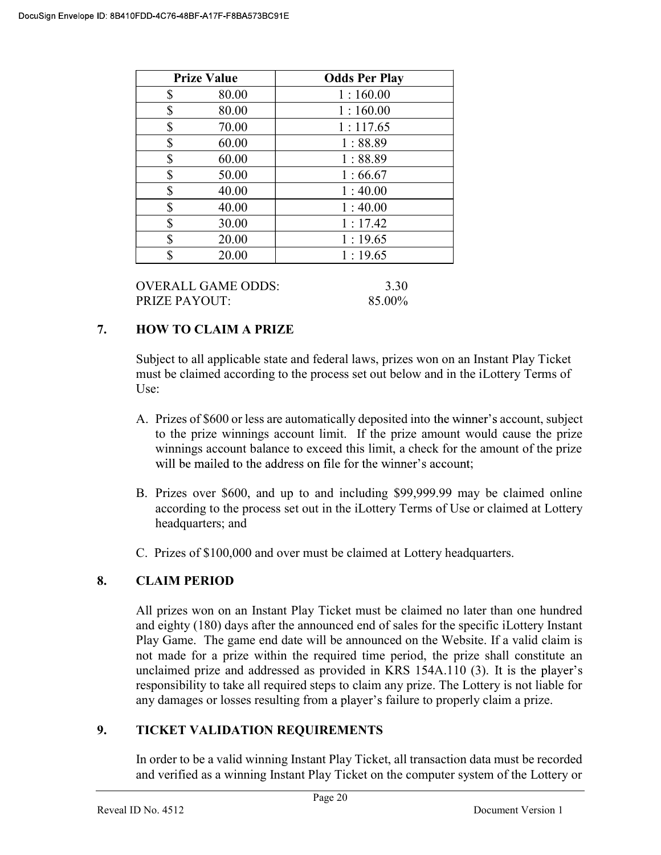| <b>Prize Value</b> | <b>Odds Per Play</b> |
|--------------------|----------------------|
| \$<br>80.00        | 1:160.00             |
| \$<br>80.00        | 1:160.00             |
| \$<br>70.00        | 1:117.65             |
| \$<br>60.00        | 1:88.89              |
| \$<br>60.00        | 1:88.89              |
| \$<br>50.00        | 1:66.67              |
| \$<br>40.00        | 1:40.00              |
| \$<br>40.00        | 1:40.00              |
| \$<br>30.00        | 1:17.42              |
| \$<br>20.00        | 1:19.65              |
| \$<br>20.00        | 1:19.65              |
|                    |                      |

OVERALL GAME ODDS: 3.30 PRIZE PAYOUT: 85.00%

# 7. HOW TO CLAIM A PRIZE

Subject to all applicable state and federal laws, prizes won on an Instant Play Ticket must be claimed according to the process set out below and in the iLottery Terms of Use:

- A. Prizes of \$600 or less are automatically deposited into the winner's account, subject to the prize winnings account limit. If the prize amount would cause the prize winnings account balance to exceed this limit, a check for the amount of the prize will be mailed to the address on file for the winner's account;
- B. Prizes over \$600, and up to and including \$99,999.99 may be claimed online according to the process set out in the iLottery Terms of Use or claimed at Lottery headquarters; and
- C. Prizes of \$100,000 and over must be claimed at Lottery headquarters.

# 8. CLAIM PERIOD

 All prizes won on an Instant Play Ticket must be claimed no later than one hundred and eighty (180) days after the announced end of sales for the specific iLottery Instant Play Game. The game end date will be announced on the Website. If a valid claim is not made for a prize within the required time period, the prize shall constitute an unclaimed prize and addressed as provided in KRS 154A.110 (3). It is the player's responsibility to take all required steps to claim any prize. The Lottery is not liable for any damages or losses resulting from a player's failure to properly claim a prize.

## 9. TICKET VALIDATION REQUIREMENTS

In order to be a valid winning Instant Play Ticket, all transaction data must be recorded and verified as a winning Instant Play Ticket on the computer system of the Lottery or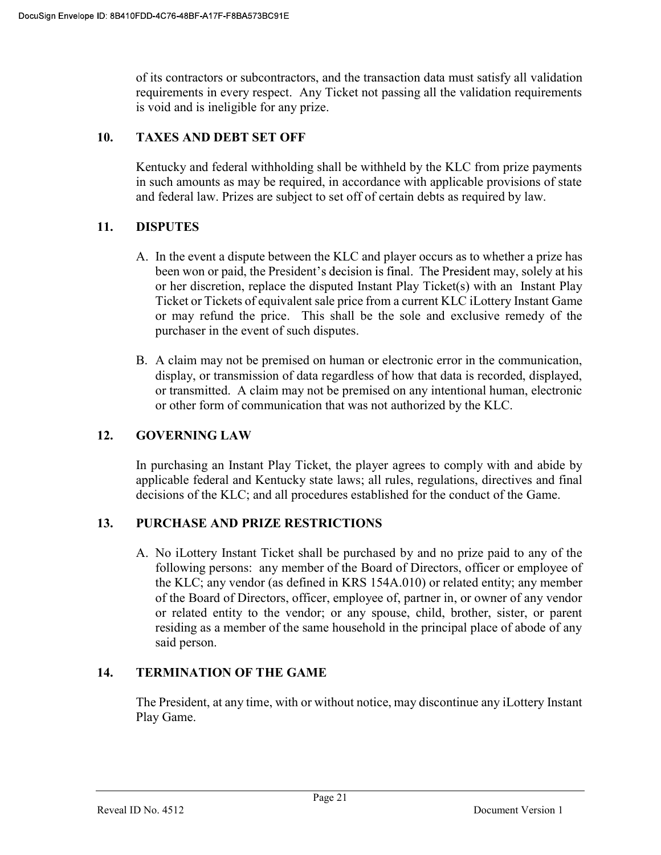of its contractors or subcontractors, and the transaction data must satisfy all validation requirements in every respect. Any Ticket not passing all the validation requirements is void and is ineligible for any prize.

# 10. TAXES AND DEBT SET OFF

 Kentucky and federal withholding shall be withheld by the KLC from prize payments in such amounts as may be required, in accordance with applicable provisions of state and federal law. Prizes are subject to set off of certain debts as required by law.

# 11. DISPUTES

- A. In the event a dispute between the KLC and player occurs as to whether a prize has been won or paid, the President's decision is final. The President may, solely at his or her discretion, replace the disputed Instant Play Ticket(s) with an Instant Play Ticket or Tickets of equivalent sale price from a current KLC iLottery Instant Game or may refund the price. This shall be the sole and exclusive remedy of the purchaser in the event of such disputes.
- B. A claim may not be premised on human or electronic error in the communication, display, or transmission of data regardless of how that data is recorded, displayed, or transmitted. A claim may not be premised on any intentional human, electronic or other form of communication that was not authorized by the KLC.

## 12. GOVERNING LAW

 In purchasing an Instant Play Ticket, the player agrees to comply with and abide by applicable federal and Kentucky state laws; all rules, regulations, directives and final decisions of the KLC; and all procedures established for the conduct of the Game.

## 13. PURCHASE AND PRIZE RESTRICTIONS

A. No iLottery Instant Ticket shall be purchased by and no prize paid to any of the following persons: any member of the Board of Directors, officer or employee of the KLC; any vendor (as defined in KRS 154A.010) or related entity; any member of the Board of Directors, officer, employee of, partner in, or owner of any vendor or related entity to the vendor; or any spouse, child, brother, sister, or parent residing as a member of the same household in the principal place of abode of any said person.

## 14. TERMINATION OF THE GAME

The President, at any time, with or without notice, may discontinue any iLottery Instant Play Game.